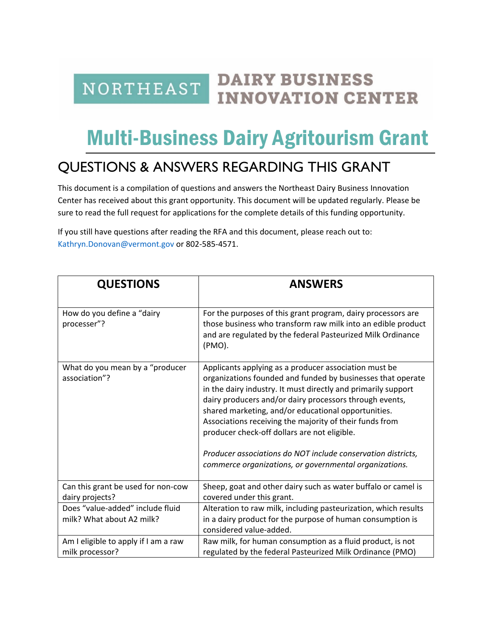**DAIRY BUSINESS NORTHEAST INNOVATION CENTER** 

## Multi-Business Dairy Agritourism Grant

## QUESTIONS & ANSWERS REGARDING THIS GRANT

This document is a compilation of questions and answers the Northeast Dairy Business Innovation Center has received about this grant opportunity. This document will be updated regularly. Please be sure to read the full request for applications for the complete details of this funding opportunity.

If you still have questions after reading the RFA and this document, please reach out to: [Kathryn.Donovan@vermont.gov](mailto:Kathryn.Donovan@vermont.gov) or 802-585-4571.

| <b>QUESTIONS</b>                                              | <b>ANSWERS</b>                                                                                                                                                                                                                                                                                                                                                                                                                                                                                                                               |
|---------------------------------------------------------------|----------------------------------------------------------------------------------------------------------------------------------------------------------------------------------------------------------------------------------------------------------------------------------------------------------------------------------------------------------------------------------------------------------------------------------------------------------------------------------------------------------------------------------------------|
| How do you define a "dairy<br>processer"?                     | For the purposes of this grant program, dairy processors are<br>those business who transform raw milk into an edible product<br>and are regulated by the federal Pasteurized Milk Ordinance<br>(PMO).                                                                                                                                                                                                                                                                                                                                        |
| What do you mean by a "producer<br>association"?              | Applicants applying as a producer association must be<br>organizations founded and funded by businesses that operate<br>in the dairy industry. It must directly and primarily support<br>dairy producers and/or dairy processors through events,<br>shared marketing, and/or educational opportunities.<br>Associations receiving the majority of their funds from<br>producer check-off dollars are not eligible.<br>Producer associations do NOT include conservation districts,<br>commerce organizations, or governmental organizations. |
| Can this grant be used for non-cow<br>dairy projects?         | Sheep, goat and other dairy such as water buffalo or camel is<br>covered under this grant.                                                                                                                                                                                                                                                                                                                                                                                                                                                   |
| Does "value-added" include fluid<br>milk? What about A2 milk? | Alteration to raw milk, including pasteurization, which results<br>in a dairy product for the purpose of human consumption is<br>considered value-added.                                                                                                                                                                                                                                                                                                                                                                                     |
| Am I eligible to apply if I am a raw<br>milk processor?       | Raw milk, for human consumption as a fluid product, is not<br>regulated by the federal Pasteurized Milk Ordinance (PMO)                                                                                                                                                                                                                                                                                                                                                                                                                      |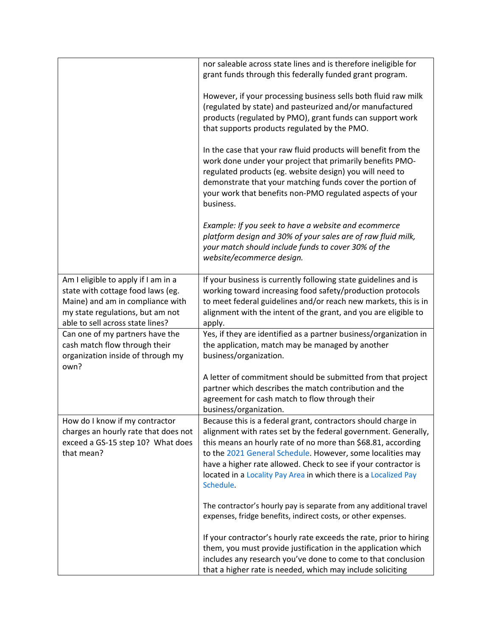|                                                                                                                                                                                      | nor saleable across state lines and is therefore ineligible for<br>grant funds through this federally funded grant program.                                                                                                                                                                                                                                                                                      |
|--------------------------------------------------------------------------------------------------------------------------------------------------------------------------------------|------------------------------------------------------------------------------------------------------------------------------------------------------------------------------------------------------------------------------------------------------------------------------------------------------------------------------------------------------------------------------------------------------------------|
|                                                                                                                                                                                      | However, if your processing business sells both fluid raw milk<br>(regulated by state) and pasteurized and/or manufactured<br>products (regulated by PMO), grant funds can support work<br>that supports products regulated by the PMO.                                                                                                                                                                          |
|                                                                                                                                                                                      | In the case that your raw fluid products will benefit from the<br>work done under your project that primarily benefits PMO-<br>regulated products (eg. website design) you will need to<br>demonstrate that your matching funds cover the portion of<br>your work that benefits non-PMO regulated aspects of your<br>business.                                                                                   |
|                                                                                                                                                                                      | Example: If you seek to have a website and ecommerce<br>platform design and 30% of your sales are of raw fluid milk,<br>your match should include funds to cover 30% of the<br>website/ecommerce design.                                                                                                                                                                                                         |
| Am I eligible to apply if I am in a<br>state with cottage food laws (eg.<br>Maine) and am in compliance with<br>my state regulations, but am not<br>able to sell across state lines? | If your business is currently following state guidelines and is<br>working toward increasing food safety/production protocols<br>to meet federal guidelines and/or reach new markets, this is in<br>alignment with the intent of the grant, and you are eligible to<br>apply.                                                                                                                                    |
| Can one of my partners have the<br>cash match flow through their<br>organization inside of through my<br>own?                                                                        | Yes, if they are identified as a partner business/organization in<br>the application, match may be managed by another<br>business/organization.                                                                                                                                                                                                                                                                  |
|                                                                                                                                                                                      | A letter of commitment should be submitted from that project<br>partner which describes the match contribution and the<br>agreement for cash match to flow through their<br>business/organization.                                                                                                                                                                                                               |
| How do I know if my contractor<br>charges an hourly rate that does not<br>exceed a GS-15 step 10? What does<br>that mean?                                                            | Because this is a federal grant, contractors should charge in<br>alignment with rates set by the federal government. Generally,<br>this means an hourly rate of no more than \$68.81, according<br>to the 2021 General Schedule. However, some localities may<br>have a higher rate allowed. Check to see if your contractor is<br>located in a Locality Pay Area in which there is a Localized Pay<br>Schedule. |
|                                                                                                                                                                                      | The contractor's hourly pay is separate from any additional travel<br>expenses, fridge benefits, indirect costs, or other expenses.                                                                                                                                                                                                                                                                              |
|                                                                                                                                                                                      | If your contractor's hourly rate exceeds the rate, prior to hiring<br>them, you must provide justification in the application which<br>includes any research you've done to come to that conclusion<br>that a higher rate is needed, which may include soliciting                                                                                                                                                |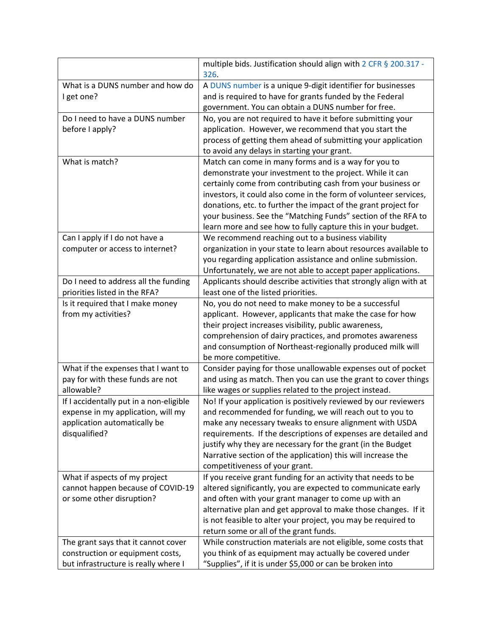|                                         | multiple bids. Justification should align with 2 CFR § 200.317 -<br>326.                                                        |  |  |
|-----------------------------------------|---------------------------------------------------------------------------------------------------------------------------------|--|--|
| What is a DUNS number and how do        | A DUNS number is a unique 9-digit identifier for businesses                                                                     |  |  |
| I get one?                              | and is required to have for grants funded by the Federal                                                                        |  |  |
|                                         | government. You can obtain a DUNS number for free.                                                                              |  |  |
| Do I need to have a DUNS number         | No, you are not required to have it before submitting your                                                                      |  |  |
| before I apply?                         | application. However, we recommend that you start the                                                                           |  |  |
|                                         | process of getting them ahead of submitting your application                                                                    |  |  |
|                                         | to avoid any delays in starting your grant.                                                                                     |  |  |
| What is match?                          | Match can come in many forms and is a way for you to                                                                            |  |  |
|                                         | demonstrate your investment to the project. While it can                                                                        |  |  |
|                                         | certainly come from contributing cash from your business or                                                                     |  |  |
|                                         | investors, it could also come in the form of volunteer services,                                                                |  |  |
|                                         | donations, etc. to further the impact of the grant project for                                                                  |  |  |
|                                         | your business. See the "Matching Funds" section of the RFA to                                                                   |  |  |
|                                         | learn more and see how to fully capture this in your budget.                                                                    |  |  |
| Can I apply if I do not have a          | We recommend reaching out to a business viability                                                                               |  |  |
| computer or access to internet?         | organization in your state to learn about resources available to<br>you regarding application assistance and online submission. |  |  |
|                                         | Unfortunately, we are not able to accept paper applications.                                                                    |  |  |
| Do I need to address all the funding    | Applicants should describe activities that strongly align with at                                                               |  |  |
| priorities listed in the RFA?           | least one of the listed priorities.                                                                                             |  |  |
| Is it required that I make money        | No, you do not need to make money to be a successful                                                                            |  |  |
| from my activities?                     | applicant. However, applicants that make the case for how                                                                       |  |  |
|                                         | their project increases visibility, public awareness,                                                                           |  |  |
|                                         | comprehension of dairy practices, and promotes awareness                                                                        |  |  |
|                                         | and consumption of Northeast-regionally produced milk will                                                                      |  |  |
|                                         | be more competitive.                                                                                                            |  |  |
| What if the expenses that I want to     | Consider paying for those unallowable expenses out of pocket                                                                    |  |  |
| pay for with these funds are not        | and using as match. Then you can use the grant to cover things                                                                  |  |  |
| allowable?                              | like wages or supplies related to the project instead.                                                                          |  |  |
| If I accidentally put in a non-eligible | No! If your application is positively reviewed by our reviewers                                                                 |  |  |
| expense in my application, will my      | and recommended for funding, we will reach out to you to                                                                        |  |  |
| application automatically be            | make any necessary tweaks to ensure alignment with USDA                                                                         |  |  |
| disqualified?                           | requirements. If the descriptions of expenses are detailed and                                                                  |  |  |
|                                         | justify why they are necessary for the grant (in the Budget                                                                     |  |  |
|                                         | Narrative section of the application) this will increase the                                                                    |  |  |
|                                         | competitiveness of your grant.                                                                                                  |  |  |
| What if aspects of my project           | If you receive grant funding for an activity that needs to be                                                                   |  |  |
| cannot happen because of COVID-19       | altered significantly, you are expected to communicate early                                                                    |  |  |
| or some other disruption?               | and often with your grant manager to come up with an<br>alternative plan and get approval to make those changes. If it          |  |  |
|                                         | is not feasible to alter your project, you may be required to                                                                   |  |  |
|                                         | return some or all of the grant funds.                                                                                          |  |  |
| The grant says that it cannot cover     | While construction materials are not eligible, some costs that                                                                  |  |  |
| construction or equipment costs,        | you think of as equipment may actually be covered under                                                                         |  |  |
| but infrastructure is really where I    | "Supplies", if it is under \$5,000 or can be broken into                                                                        |  |  |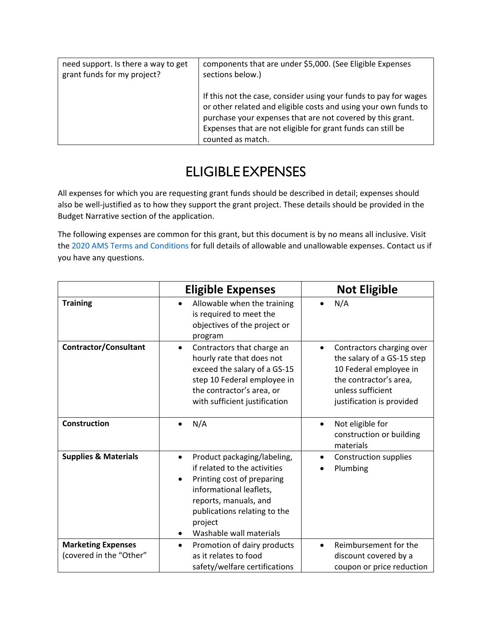| need support. Is there a way to get | components that are under \$5,000. (See Eligible Expenses                                                                                                                                                                                                                             |  |
|-------------------------------------|---------------------------------------------------------------------------------------------------------------------------------------------------------------------------------------------------------------------------------------------------------------------------------------|--|
| grant funds for my project?         | sections below.)                                                                                                                                                                                                                                                                      |  |
|                                     | If this not the case, consider using your funds to pay for wages<br>or other related and eligible costs and using your own funds to<br>purchase your expenses that are not covered by this grant.<br>Expenses that are not eligible for grant funds can still be<br>counted as match. |  |

## ELIGIBLE EXPENSES

All expenses for which you are requesting grant funds should be described in detail; expenses should also be well-justified as to how they support the grant project. These details should be provided in the Budget Narrative section of the application.

The following expenses are common for this grant, but this document is by no means all inclusive. Visit the [2020 AMS Terms and Conditions](https://www.ams.usda.gov/sites/default/files/media/FY2020GDTermsandConditionsUpdates.pdf) for full details of allowable and unallowable expenses. Contact us if you have any questions.

|                                                      | <b>Eligible Expenses</b>                                                                                                                                                                                                                      | <b>Not Eligible</b>                                                                                                                                                        |
|------------------------------------------------------|-----------------------------------------------------------------------------------------------------------------------------------------------------------------------------------------------------------------------------------------------|----------------------------------------------------------------------------------------------------------------------------------------------------------------------------|
| <b>Training</b>                                      | Allowable when the training<br>$\bullet$<br>is required to meet the<br>objectives of the project or<br>program                                                                                                                                | N/A<br>$\bullet$                                                                                                                                                           |
| <b>Contractor/Consultant</b>                         | Contractors that charge an<br>$\bullet$<br>hourly rate that does not<br>exceed the salary of a GS-15<br>step 10 Federal employee in<br>the contractor's area, or<br>with sufficient justification                                             | Contractors charging over<br>$\bullet$<br>the salary of a GS-15 step<br>10 Federal employee in<br>the contractor's area,<br>unless sufficient<br>justification is provided |
| <b>Construction</b>                                  | N/A<br>$\bullet$                                                                                                                                                                                                                              | Not eligible for<br>$\bullet$<br>construction or building<br>materials                                                                                                     |
| <b>Supplies &amp; Materials</b>                      | Product packaging/labeling,<br>$\bullet$<br>if related to the activities<br>Printing cost of preparing<br>$\bullet$<br>informational leaflets,<br>reports, manuals, and<br>publications relating to the<br>project<br>Washable wall materials | Construction supplies<br>$\bullet$<br>Plumbing                                                                                                                             |
| <b>Marketing Expenses</b><br>(covered in the "Other" | Promotion of dairy products<br>$\bullet$<br>as it relates to food<br>safety/welfare certifications                                                                                                                                            | Reimbursement for the<br>$\bullet$<br>discount covered by a<br>coupon or price reduction                                                                                   |